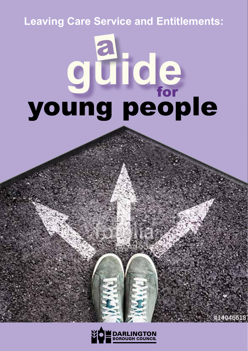## **Leaving Care Service and Entitlements:**

# güide a young people

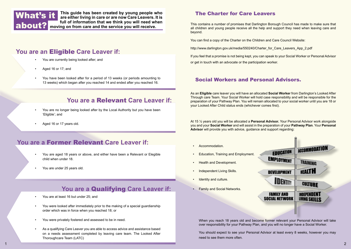

about? **moving on from care and the service you will receive. This guide has been created by young people who are either living in care or are now Care Leavers. It is full of information that we think you will need when** 

## **You are an** Eligible **Care Leaver if:**

- You are currently being looked after; and
- Aged 16 or 17; and
- You have been looked after for a period of 13 weeks (or periods amounting to 13 weeks) which began after you reached 14 and ended after you reached 16.

## **You are a** Relevant **Care Leaver if:**

- You are no longer being looked after by the Local Authority but you have been 'Eligible'; and
- Aged 16 or 17 years old.

## **You are a** Former Relevant **Care Leaver if:**

- You are aged 18 years or above, and either have been a Relevant or Elegible child when under 18.
- You are under 25 years old.

## **You are a** Qualifying **Care Leaver if:**

- You are at least 16 but under 25; and
- You were looked after immediately prior to the making of a special guardianship order which was in force when you reached 18; or
- You were privately fostered and assessed to be in need.
- As a qualifying Care Leaver you are able to access advice and assistance based on a needs assessment completed by leaving care team. The Looked After Thoroughcare Team (LATC)

## The Charter for Care Leavers

This contains a number of promises that Darlington Borough Council has made to make sure that all children and young people receive all the help and support they need when leaving care and beyond.

You can find a copy of the Charter on the Children and Care Council Website:

http://www.darlington.gov.uk/media/550240/Charter\_for\_Care\_Leavers\_App\_2.pdf

If you feel that a promise is not being kept, you can speak to your Social Worker or Personal Advisor or get in touch with an advocate or the participation worker.

## Social Workers and Personal Advisors.

As an **Eligible** care leaver you will have an allocated **Social Worker** from Darlington's Looked After Through care Team. Your Social Worker will hold case responsibility and will be responsible for the preparation of your Pathway Plan. You will remain allocated to your social worker until you are 18 or your Looked After Child status ends (whichever comes first).

At 15 ½ years old you will be allocated a **Personal Advisor.** Your Personal Advisor work alongside you and your **Social Worker** and will assist in the preparation of your **Pathway Plan**. Your **Personal Advisor** will provide you with advice, guidance and support regarding:

- Accommodation.
- Education, Training and Employment.
- Health and Development.
- Independent Living Skills.
- Identity and culture.
- Family and Social Networks.



When you reach 18 years old and become former relevant your Personal Advisor will take over responsibility for your Pathway Plan, and you will no longer have a Social Worker.

You should expect to see your Personal Advisor at least every 8 weeks, however you may need to see them more often.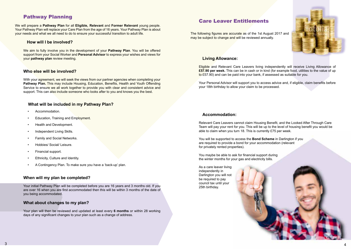## Pathway Planning

We will prepare a **Pathway Plan** for all **Eligible, Relevant** and **Former Relevant** young people. Your Pathway Plan will replace your Care Plan from the age of 16 years. Your Pathway Plan is about your needs and what we all need to do to ensure your successful transition to adult life.

#### **How will I be involved?**

We aim to fully involve you in the development of your **Pathway Plan**. You will be offered support from your Social Worker and **Personal Advisor** to express your wishes and views for your **pathway plan** review meeting.

#### **Who else will be involved?**

With your agreement, we will seek the views from our partner agencies when completing your **Pathway Plan.** This may include Housing, Education, Benefits, Health and Youth Offending Service to ensure we all work together to provide you with clear and consistent advice and support. This can also include someone who looks after to you and knows you the best.

## **What will be included in my Pathway Plan?**

- Accommodation.
- Education, Training and Employment.
- Health and Development.
- Independent Living Skills.
- Family and Social Networks.
- Hobbies/ Social/ Leisure.
- Financial support.
- Ethnicity, Culture and Identity.
- A Contingency Plan. To make sure you have a 'back-up' plan.

#### **When will my plan be completed?**

Your initial Pathway Plan will be completed before you are 16 years and 3 months old. If you are over 16 when you are first accommodated then this will be within 3 months of the date of you being accommodated.

#### **What about changes to my plan?**

Your plan will then be reviewed and updated at least every **6 months** or within 28 working days of any significant changes to your plan such as a change of address.

## Care Leaver Entitlements

The following figures are accurate as of the 1st August 2017 and may be subject to change and will be reviewed annually.



## **Living Allowance:**

Eligible and Relevant Care Leavers living independently will receive Living Allowance of **£57.90 per week.** This can be in cash or in kind (for example food, utilities to the value of up to £57.90) and can be paid into your bank, if assessed as suitable for you.

Your Personal Advisor will support you to access advice and, if eligible, claim benefits before your 18th birthday to allow your claim to be processed.

#### **Accommodation:**

Relevant Care Leavers cannot claim Housing Benefit, and the Looked After Through Care Team will pay your rent for you. This will be up to the level of housing benefit you would be able to claim when you turn 18. This is currently £75 per week.

You will be supported to access the **Bond Scheme** in Darlington if you are required to provide a bond for your accommodation (relevant for privately rented properties).

You maybe be able to ask for financial support during the winter months for your gas and electricity bills.

As a care leaver living independently in Darlington you will not be required to pay council tax until your 25th birthday.

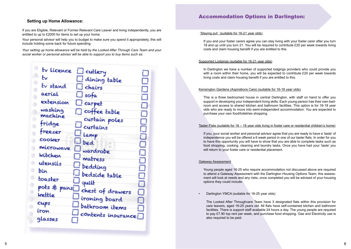#### **Setting up Home Allowance:**

If you are Eligible, Relevant or Former Relevant Care Leaver and living independently, you are entitled to up to £2000 for items to set up your home.

Your personal advisor will help you to budget to make sure you spend it appropriately, this will include holding some back for future spending.

*Your setting up home allowance will be held by the Looked After Through Care Team and your social worker or personal advisor will be able to support you to buy items such as:*

## Accommodation Options in Darlington:

'Staying put' (suitable for 18-21 year olds)

If you and your foster carers agree you can stay living with your foster carer after you turn 18 and up until you turn 21. You will be required to contribute £20 per week towards living costs and claim housing benefit if you are entitled to this.

#### Supported Lodgings (suitable for 16-21 year olds)

In Darlington we have a number of supported lodgings providers who could provide you with a room within their home, you will be expected to contribute £20 per week towards living costs and claim housing benefit if you are entitled to this.

#### Kensington Gardens (Aspirations Care) (suitable for 16-18 year olds)

This is a three bedroomed house in central Darlington, with staff on hand to offer you support in developing your independent living skills. Each young person has their own bedroom and access to shared kitchen and bathroom facilities. This option is for 16-18 year olds who are ready to move into semi-independent accommodation. You are expected to purchase your own food/toiletries shopping.

#### Taster Flats (suitable for 16 – 18 year olds living in foster care or residential children's home)

If you, your social worker and personal advisor agree that you are ready to have a 'taste' of independence you will be offered a 6 week period in one of our taster flats. In order for you to have this opportunity you will have to show that you are able to complete tasks such as food shopping, cooking, cleaning and laundry tasks. Once you have had your 'taste' you will return to your foster care or residential placement.

#### Gateway Assessment

Young people aged 16-25 who require accommodation not discussed above are required to attend a Gateway Assessment with the Darlington Housing Options Team, this assessment will look at needs and any risks, once completed you will be advised of your housing options they could include:

• Darlington YMCA (suitable for 16-25 year olds)

The Looked After Throughcare Team have 3 designated flats within this provision for care leavers, aged 16-25 years old. All flats have self-contained kitchen and bathroom facilities. There is support staff available 24 hours a day. The young people are required to pay £7.90 top rent per week, and purchase food shopping. Gas and Electricity use is also required to be paid.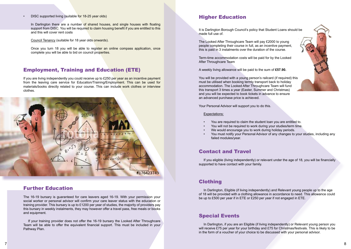#### • DISC supported living (suitable for 18-25 year olds)

In Darlington there are a number of shared houses, and single houses with floating support from DISC. You will be required to claim housing benefit if you are entitled to this and this will cover rent costs

Council Tenancy (suitable for 18 year olds onwards).

Once you turn 18 you will be able to register an online compass application, once complete you will be able to bid on council properties.

## Employment, Training and Education (ETE)

If you are living independently you could receive up to  $£250$  per year as an incentive payment from the leaving care service for Education/Training/Employment. This can be used for materials/books directly related to your course. This can include work clothes or interview clothes.



## Further Education

The 16-19 bursary is guaranteed for care leavers aged 16-19. With your permission your social worker or personal advisor will confirm your care leaver status with the education or training provider. This bursary is up to £1200 per year of studies, the majority of providers pay this bursary in weekly instalments, they may however offer a travel pass, free meals or books and equipment.

If your training provider does not offer the 16-19 bursary the Looked After Throughcare Team will be able to offer the equivalent financial support. This must be included in your Pathway Plan.

## Higher Education

It is Darlington Borough Council's policy that Student Loans should be made full use of.

The Looked After Throughcare Team will pay £2000 to young people completing their course in full, as an incentive payment, this is paid in 3 instalments over the duration of the course.

Term-time accommodation costs will be paid for by the Looked After Throughcare Team

A weekly living allowance will be paid to the sum of **£57.90.**

You will be provided with a young person's railcard (if required) this must be utilised when booking termly transport back to holiday accommodation. The Looked After Throughcare Team will fund this transport 3 times a year (Easter, Summer and Christmas) and you will be expected to book tickets in advance to ensure an advanced purchase price is achieved.

Your Personal Advisor will support you to do this.

#### Expectations:

- You are required to claim the student loan you are entitled to.
- You will not be required to work during your studies/term time.
- We would encourage you to work during holiday periods.
- You must notify your Personal Advisor of any changes to your studies, including any failed modules/year.

## Contact and Travel

If you eligible (living independently) or relevant under the age of 18, you will be financially supported to have contact with your family.

## Clothing

In Darlington, Eligible (if living independently) and Relevant young people up to the age of 18 will be provided with a clothing allowance in accordance to need. This allowance could be up to £500 per year if in ETE or £250 per year if not engaged in ETE.

## Special Events

In Darlington, if you are an Eligible (if living independently) or Relevant young person you will receive £75 per year for your birthday and £75 for Christmas/festivals. This is likely to be in the form of a voucher of your choice to be discussed with your personal advisor.

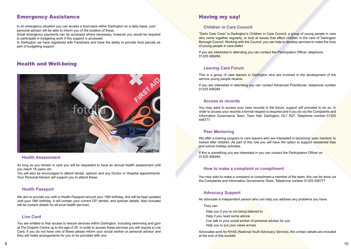## Emergency Assistance

In an emergency situation you can access a food bank within Darlington on a daily basis, your personal advisor will be able to inform you of the location of these.

Small emergency payments can be accessed where necessary, however you would be required to participate in budgeting work if this support is accessed.

In Darlington we have registered with Fareshare and have the ability to provide food parcels as part of budgeting support.

## Health and Well-being



#### **Health Assessment**

As long as you remain in care you will be requested to have an annual health assessment until you reach 18 years old.

You will also be encouraged to attend dental, optician and any Doctor or Hospital appointments. Your Personal Advisor will support you to attend these.

## **Health Passport**

We aim to provide you with a Health Passport around your 16th birthday, this will be kept updated until your 18th birthday. It will contain your current GP, dentist, and optician details. Also included will be contact details for all local health services.

## **Live Card**

You are entitled to free access to leisure services within Darlington, including swimming and gym at The Dolphin Centre up to the age of 25. In order to access these services you will require a Live Card, if you do not have one of these please inform your social worker or personal advisor and they will make arrangements for you to be provided with one.

## Having my say!

## **Children in Care Council**

"Darlo Care Crew" is Darlington's Children in Care Council, a group of young people in care who come together regularly, to look at issues that affect children in the care of Darlington Borough Council. Working with the Council, you can help to develop services to make the lives of young people in care better

If you are interested in attending you can contact the Participation Officer, telephone 01325 406284.

#### **Leaving Care Forum**

This is a group of care leavers in Darlington who are involved in the development of the service young people receive.

If you are interested in attending you can contact Advanced Practitioner, telephone number 01325 406284

#### **Access to records**

You may want to access your case records in the future, support will provided to do so. In order to access your records a formal request is required and if you do via the Complaints and Information Governance Team, Town Hall, Darlington, DL1 5QT. Telephone number 01325 406777.

#### **Peer Mentoring**

We offer a training program to care leavers who are interested in becoming 'peer mentors' to looked after children. As part of this role you will have the option to support residential trips and school holiday activities.

If this is something you are interested in you can contact the Participation Officer on 01325 406284

#### **How to make a complaint or compliment**

You may wish to make a complaint or compliment a member of the team, this can be done via the Complaints and Information Governance Team. Telephone number 01325 406777.

## **Advocacy Support**

An advocate is independent person who can help you address any problems you have.

They can:

- Help you if you're not being listened to
- Help if you need some advice
- Can talk to your social worker of personal advisor for you
- Help you to put your views across

Advocates work for NYAS (National Youth Advocacy Service), the contact details are included at the end of this booklet.